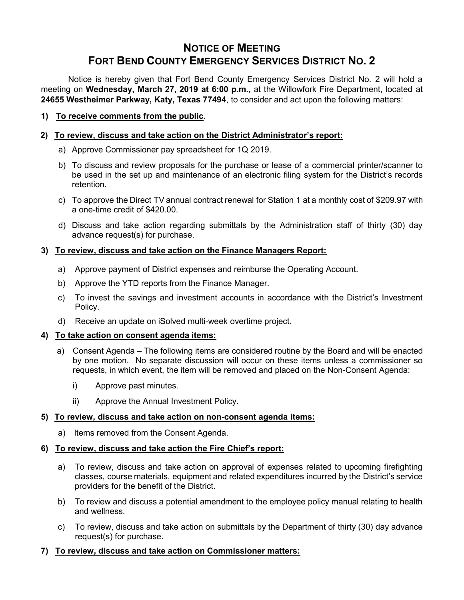# **NOTICE OF MEETING FORT BEND COUNTY EMERGENCY SERVICES DISTRICT NO. 2**

Notice is hereby given that Fort Bend County Emergency Services District No. 2 will hold a meeting on **Wednesday, March 27, 2019 at 6:00 p.m.,** at the Willowfork Fire Department, located at **24655 Westheimer Parkway, Katy, Texas 77494**, to consider and act upon the following matters:

#### **1) To receive comments from the public**.

#### **2) To review, discuss and take action on the District Administrator's report:**

- a) Approve Commissioner pay spreadsheet for 1Q 2019.
- b) To discuss and review proposals for the purchase or lease of a commercial printer/scanner to be used in the set up and maintenance of an electronic filing system for the District's records retention.
- c) To approve the Direct TV annual contract renewal for Station 1 at a monthly cost of \$209.97 with a one-time credit of \$420.00.
- d) Discuss and take action regarding submittals by the Administration staff of thirty (30) day advance request(s) for purchase.

#### **3) To review, discuss and take action on the Finance Managers Report:**

- a) Approve payment of District expenses and reimburse the Operating Account.
- b) Approve the YTD reports from the Finance Manager.
- c) To invest the savings and investment accounts in accordance with the District's Investment Policy.
- d) Receive an update on iSolved multi-week overtime project.

#### **4) To take action on consent agenda items:**

- a) Consent Agenda The following items are considered routine by the Board and will be enacted by one motion. No separate discussion will occur on these items unless a commissioner so requests, in which event, the item will be removed and placed on the Non-Consent Agenda:
	- i) Approve past minutes.
	- ii) Approve the Annual Investment Policy.

# **5) To review, discuss and take action on non-consent agenda items:**

a) Items removed from the Consent Agenda.

# **6) To review, discuss and take action the Fire Chief's report:**

- a) To review, discuss and take action on approval of expenses related to upcoming firefighting classes, course materials, equipment and related expenditures incurred by the District's service providers for the benefit of the District.
- b) To review and discuss a potential amendment to the employee policy manual relating to health and wellness.
- c) To review, discuss and take action on submittals by the Department of thirty (30) day advance request(s) for purchase.

#### **7) To review, discuss and take action on Commissioner matters:**